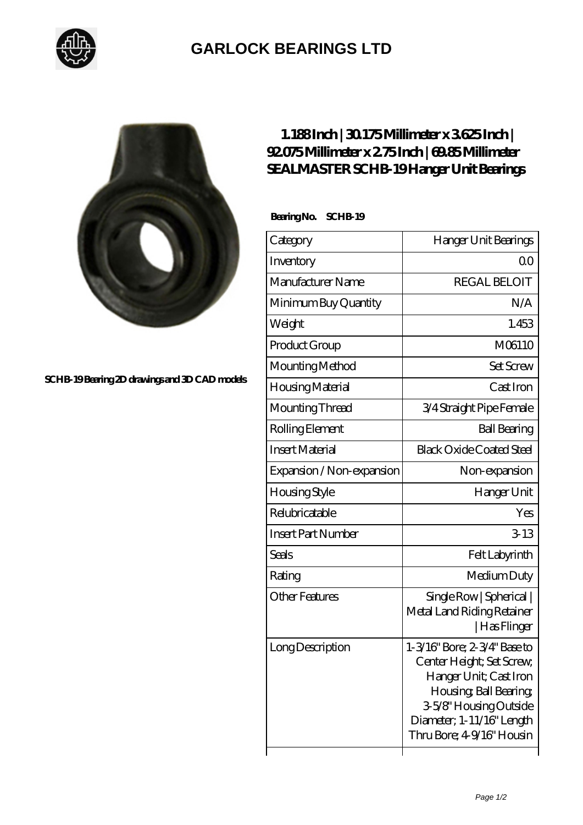

## **[GARLOCK BEARINGS LTD](https://m.letterstopriests.com)**



**[SCHB-19 Bearing 2D drawings and 3D CAD models](https://m.letterstopriests.com/pic-188988.html)**

## **[1.188 Inch | 30.175 Millimeter x 3.625 Inch |](https://m.letterstopriests.com/am-188988-sealmaster-schb-19-hanger-unit-bearings.html) [92.075 Millimeter x 2.75 Inch | 69.85 Millimeter](https://m.letterstopriests.com/am-188988-sealmaster-schb-19-hanger-unit-bearings.html) [SEALMASTER SCHB-19 Hanger Unit Bearings](https://m.letterstopriests.com/am-188988-sealmaster-schb-19-hanger-unit-bearings.html)**

Bearing No. SCHB-19

| Category                  | Hanger Unit Bearings                                                                                                                                                                             |
|---------------------------|--------------------------------------------------------------------------------------------------------------------------------------------------------------------------------------------------|
| Inventory                 | QΟ                                                                                                                                                                                               |
| Manufacturer Name         | <b>REGAL BELOIT</b>                                                                                                                                                                              |
| Minimum Buy Quantity      | N/A                                                                                                                                                                                              |
| Weight                    | 1.453                                                                                                                                                                                            |
| Product Group             | M06110                                                                                                                                                                                           |
| Mounting Method           | <b>Set Screw</b>                                                                                                                                                                                 |
| Housing Material          | Cast Iron                                                                                                                                                                                        |
| Mounting Thread           | 3/4 Straight Pipe Female                                                                                                                                                                         |
| Rolling Element           | <b>Ball Bearing</b>                                                                                                                                                                              |
| <b>Insert Material</b>    | <b>Black Oxide Coated Steel</b>                                                                                                                                                                  |
| Expansion / Non-expansion | Non-expansion                                                                                                                                                                                    |
| Housing Style             | Hanger Unit                                                                                                                                                                                      |
| Relubricatable            | Yes                                                                                                                                                                                              |
| <b>Insert Part Number</b> | $3-13$                                                                                                                                                                                           |
| Seals                     | Felt Labyrinth                                                                                                                                                                                   |
| Rating                    | Medium Duty                                                                                                                                                                                      |
| Other Features            | Single Row   Spherical  <br>Metal Land Riding Retainer<br> Has Flinger                                                                                                                           |
| Long Description          | 1-3/16" Bore; 2-3/4" Base to<br>Center Height; Set Screw,<br>Hanger Unit; Cast Iron<br>Housing, Ball Bearing,<br>3-5/8" Housing Outside<br>Diameter; 1-11/16" Length<br>Thru Bore; 49/16" Housin |